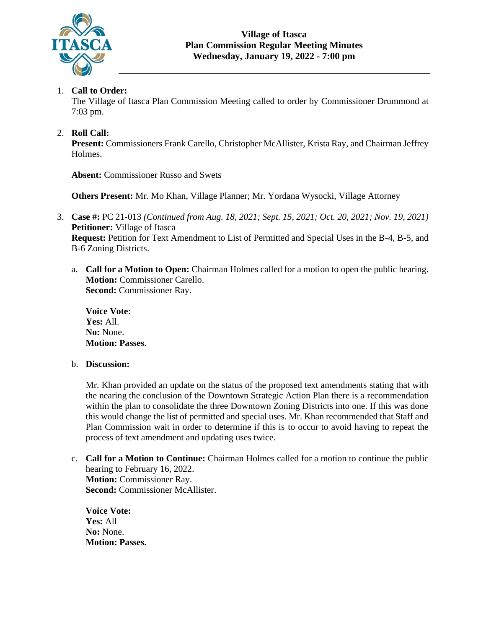

# 1. **Call to Order:**

The Village of Itasca Plan Commission Meeting called to order by Commissioner Drummond at 7:03 pm.

# 2. **Roll Call:**

**Present:** Commissioners Frank Carello, Christopher McAllister, Krista Ray, and Chairman Jeffrey Holmes.

**Absent:** Commissioner Russo and Swets

**Others Present:** Mr. Mo Khan, Village Planner; Mr. Yordana Wysocki, Village Attorney

- 3. **Case #:** PC 21-013 *(Continued from Aug. 18, 2021; Sept. 15, 2021; Oct. 20, 2021; Nov. 19, 2021)* **Petitioner:** Village of Itasca **Request:** Petition for Text Amendment to List of Permitted and Special Uses in the B-4, B-5, and B-6 Zoning Districts.
	- a. **Call for a Motion to Open:** Chairman Holmes called for a motion to open the public hearing. **Motion: Commissioner Carello. Second:** Commissioner Ray.

**Voice Vote: Yes:** All. **No:** None. **Motion: Passes.**

#### b. **Discussion:**

Mr. Khan provided an update on the status of the proposed text amendments stating that with the nearing the conclusion of the Downtown Strategic Action Plan there is a recommendation within the plan to consolidate the three Downtown Zoning Districts into one. If this was done this would change the list of permitted and special uses. Mr. Khan recommended that Staff and Plan Commission wait in order to determine if this is to occur to avoid having to repeat the process of text amendment and updating uses twice.

c. **Call for a Motion to Continue:** Chairman Holmes called for a motion to continue the public hearing to February 16, 2022. **Motion:** Commissioner Ray. **Second:** Commissioner McAllister.

**Voice Vote: Yes:** All **No:** None. **Motion: Passes.**